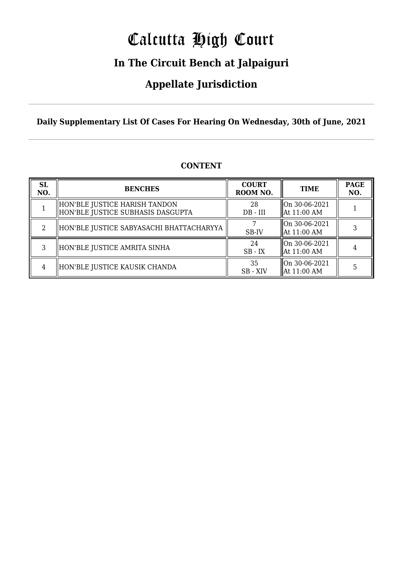# Calcutta High Court

### **In The Circuit Bench at Jalpaiguri**

### **Appellate Jurisdiction**

**Daily Supplementary List Of Cases For Hearing On Wednesday, 30th of June, 2021**

| <b>SL</b><br>NO. | <b>BENCHES</b>                                                     | <b>COURT</b><br>ROOM NO. | <b>TIME</b>                    | <b>PAGE</b><br>NO. |
|------------------|--------------------------------------------------------------------|--------------------------|--------------------------------|--------------------|
|                  | HON'BLE JUSTICE HARISH TANDON<br>HON'BLE JUSTICE SUBHASIS DASGUPTA | 28<br>$DB$ - $III$       | On 30-06-2021<br>  At 11:00 AM |                    |
| 2                | HON'BLE JUSTICE SABYASACHI BHATTACHARYYA                           | SB-IV                    | On 30-06-2021<br>  At 11:00 AM |                    |
| 3                | HON'BLE JUSTICE AMRITA SINHA                                       | 24<br>$SB$ - $IX$        | On 30-06-2021<br>  At 11:00 AM |                    |
| 4                | HON'BLE JUSTICE KAUSIK CHANDA                                      | 35<br>SB - XIV           | On 30-06-2021<br>  At 11:00 AM |                    |

### **CONTENT**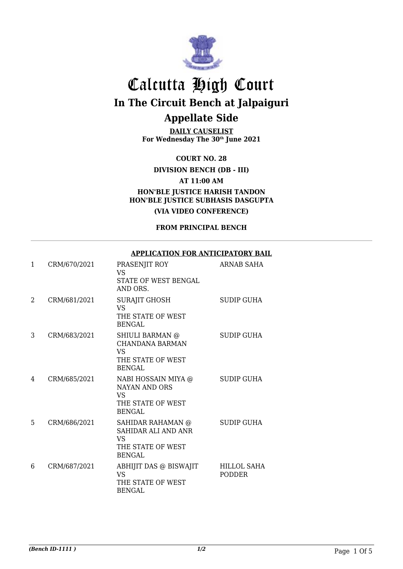

**DAILY CAUSELIST For Wednesday The 30th June 2021**

**COURT NO. 28**

**DIVISION BENCH (DB - III)**

**AT 11:00 AM**

**HON'BLE JUSTICE HARISH TANDON HON'BLE JUSTICE SUBHASIS DASGUPTA (VIA VIDEO CONFERENCE)**

**FROM PRINCIPAL BENCH**

#### **APPLICATION FOR ANTICIPATORY BAIL**

| $\mathbf{1}$ | CRM/670/2021 | PRASENJIT ROY<br>VS<br><b>STATE OF WEST BENGAL</b><br>AND ORS.                        | ARNAB SAHA            |
|--------------|--------------|---------------------------------------------------------------------------------------|-----------------------|
| 2            | CRM/681/2021 | <b>SURAJIT GHOSH</b><br><b>VS</b><br>THE STATE OF WEST<br><b>BENGAL</b>               | <b>SUDIP GUHA</b>     |
| 3            | CRM/683/2021 | SHIULI BARMAN @<br>CHANDANA BARMAN<br><b>VS</b><br>THE STATE OF WEST<br><b>BENGAL</b> | <b>SUDIP GUHA</b>     |
| 4            | CRM/685/2021 | NABI HOSSAIN MIYA @<br>NAYAN AND ORS<br>VS<br>THE STATE OF WEST<br><b>BENGAL</b>      | <b>SUDIP GUHA</b>     |
| 5            | CRM/686/2021 | SAHIDAR RAHAMAN @<br>SAHIDAR ALI AND ANR<br>VS<br>THE STATE OF WEST<br><b>BENGAL</b>  | <b>SUDIP GUHA</b>     |
| 6            | CRM/687/2021 | ABHIJIT DAS @ BISWAJIT<br>VS<br>THE STATE OF WEST<br><b>BENGAL</b>                    | HILLOL SAHA<br>PODDER |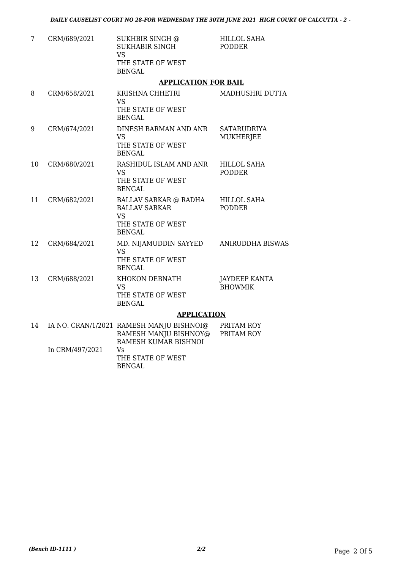| 7  | CRM/689/2021    | SUKHBIR SINGH @<br><b>SUKHABIR SINGH</b><br><b>VS</b><br>THE STATE OF WEST<br><b>BENGAL</b>      | <b>HILLOL SAHA</b><br><b>PODDER</b>    |  |
|----|-----------------|--------------------------------------------------------------------------------------------------|----------------------------------------|--|
|    |                 | <b>APPLICATION FOR BAIL</b>                                                                      |                                        |  |
| 8  | CRM/658/2021    | KRISHNA CHHETRI<br><b>VS</b><br>THE STATE OF WEST<br><b>BENGAL</b>                               | MADHUSHRI DUTTA                        |  |
| 9  | CRM/674/2021    | DINESH BARMAN AND ANR<br><b>VS</b><br>THE STATE OF WEST<br><b>BENGAL</b>                         | <b>SATARUDRIYA</b><br><b>MUKHERJEE</b> |  |
| 10 | CRM/680/2021    | RASHIDUL ISLAM AND ANR<br><b>VS</b><br>THE STATE OF WEST<br><b>BENGAL</b>                        | <b>HILLOL SAHA</b><br><b>PODDER</b>    |  |
| 11 | CRM/682/2021    | BALLAV SARKAR @ RADHA<br><b>BALLAV SARKAR</b><br><b>VS</b><br>THE STATE OF WEST<br><b>BENGAL</b> | <b>HILLOL SAHA</b><br><b>PODDER</b>    |  |
| 12 | CRM/684/2021    | MD. NIJAMUDDIN SAYYED<br><b>VS</b><br>THE STATE OF WEST<br><b>BENGAL</b>                         | <b>ANIRUDDHA BISWAS</b>                |  |
| 13 | CRM/688/2021    | KHOKON DEBNATH<br><b>VS</b><br>THE STATE OF WEST<br><b>BENGAL</b>                                | <b>JAYDEEP KANTA</b><br><b>BHOWMIK</b> |  |
|    |                 | <b>APPLICATION</b>                                                                               |                                        |  |
| 14 |                 | IA NO. CRAN/1/2021 RAMESH MANJU BISHNOI@<br>RAMESH MANJU BISHNOY@<br>RAMESH KUMAR BISHNOI        | PRITAM ROY<br>PRITAM ROY               |  |
|    | In CRM/497/2021 | <b>Vs</b><br>THE STATE OF WEST                                                                   |                                        |  |

BENGAL

*(Bench ID-1111 ) 2/2* Page 2 Of 5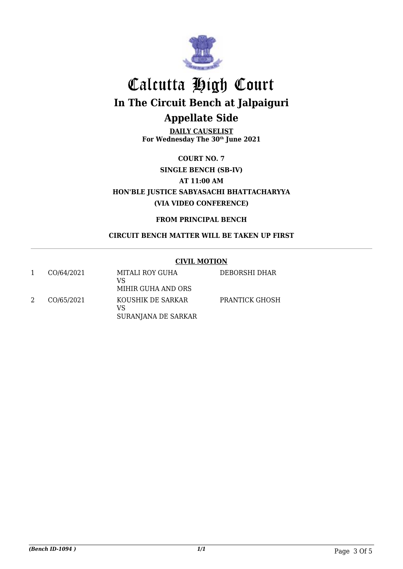

**DAILY CAUSELIST For Wednesday The 30th June 2021**

**COURT NO. 7 SINGLE BENCH (SB-IV) AT 11:00 AM HON'BLE JUSTICE SABYASACHI BHATTACHARYYA (VIA VIDEO CONFERENCE)**

**FROM PRINCIPAL BENCH**

**CIRCUIT BENCH MATTER WILL BE TAKEN UP FIRST**

#### **CIVIL MOTION**

| CO/64/2021 | MITALI ROY GUHA<br>VS<br>MIHIR GUHA AND ORS    | DEBORSHI DHAR  |
|------------|------------------------------------------------|----------------|
| CO/65/2021 | KOUSHIK DE SARKAR<br>VS<br>SURANJANA DE SARKAR | PRANTICK GHOSH |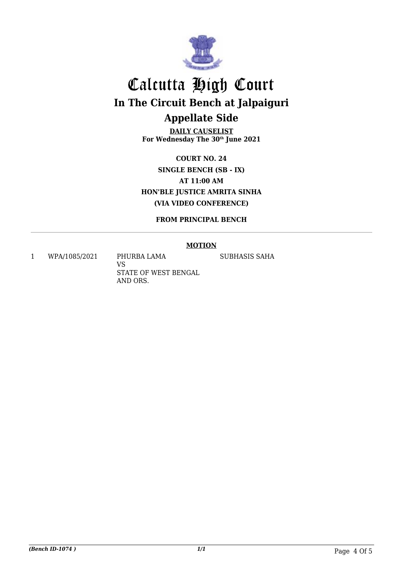

**DAILY CAUSELIST For Wednesday The 30th June 2021**

**COURT NO. 24 SINGLE BENCH (SB - IX) AT 11:00 AM HON'BLE JUSTICE AMRITA SINHA (VIA VIDEO CONFERENCE)**

**FROM PRINCIPAL BENCH**

#### **MOTION**

1 WPA/1085/2021 PHURBA LAMA

VS STATE OF WEST BENGAL AND ORS.

SUBHASIS SAHA